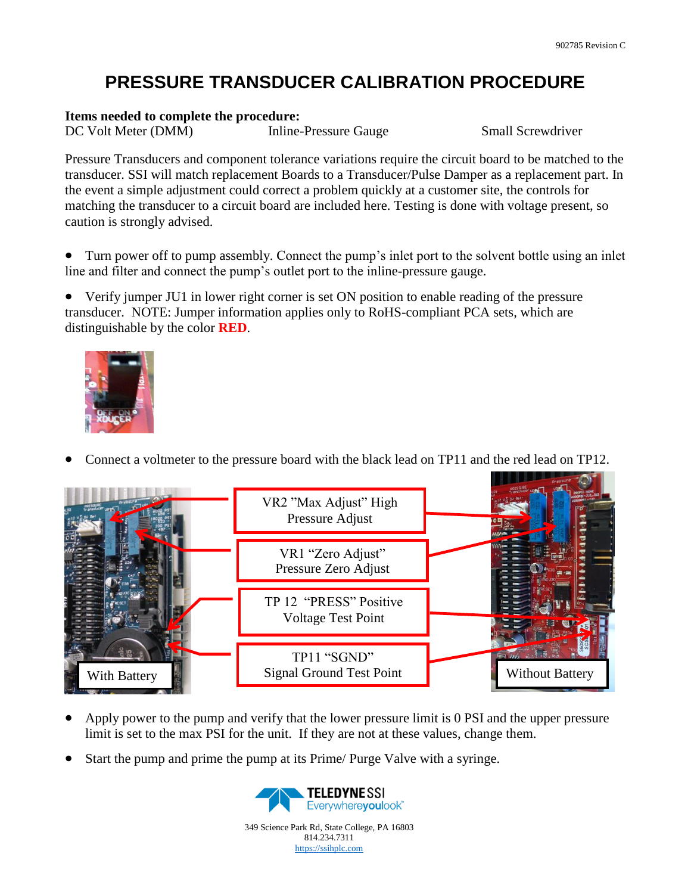## **PRESSURE TRANSDUCER CALIBRATION PROCEDURE**

## **Items needed to complete the procedure:**

DC Volt Meter (DMM) Inline-Pressure Gauge Small Screwdriver

Pressure Transducers and component tolerance variations require the circuit board to be matched to the transducer. SSI will match replacement Boards to a Transducer/Pulse Damper as a replacement part. In the event a simple adjustment could correct a problem quickly at a customer site, the controls for matching the transducer to a circuit board are included here. Testing is done with voltage present, so caution is strongly advised.

 Turn power off to pump assembly. Connect the pump's inlet port to the solvent bottle using an inlet line and filter and connect the pump's outlet port to the inline-pressure gauge.

 Verify jumper JU1 in lower right corner is set ON position to enable reading of the pressure transducer. NOTE: Jumper information applies only to RoHS-compliant PCA sets, which are distinguishable by the color **RED**.



Connect a voltmeter to the pressure board with the black lead on TP11 and the red lead on TP12.



- Apply power to the pump and verify that the lower pressure limit is 0 PSI and the upper pressure limit is set to the max PSI for the unit. If they are not at these values, change them.
- Start the pump and prime the pump at its Prime/ Purge Valve with a syringe.



349 Science Park Rd, State College, PA 16803 814.234.7311 [https://ssihplc.com](https://ssihplc.com/)